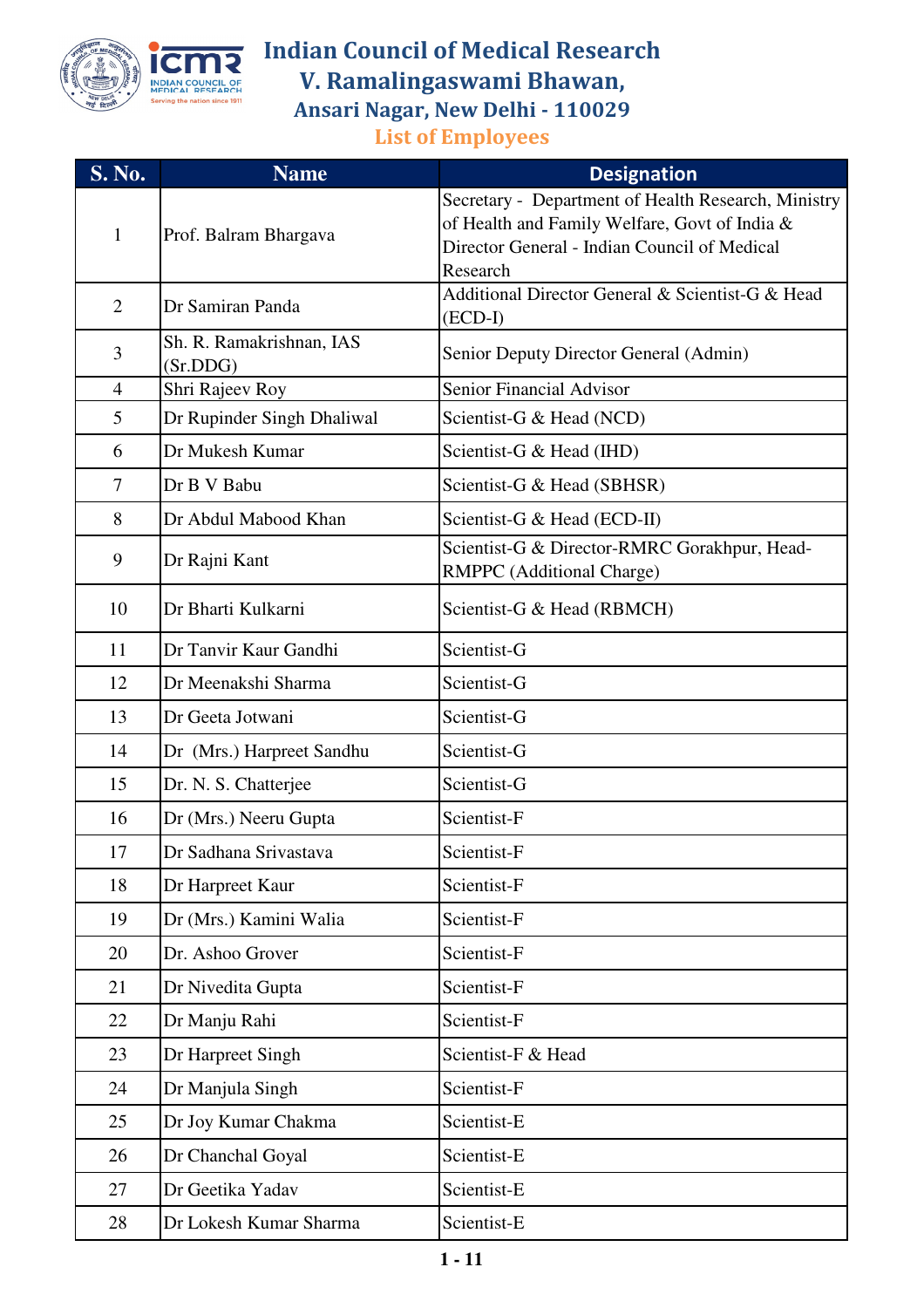

| <b>S. No.</b>  | <b>Name</b>                          | <b>Designation</b>                                                               |
|----------------|--------------------------------------|----------------------------------------------------------------------------------|
| $\mathbf{1}$   |                                      | Secretary - Department of Health Research, Ministry                              |
|                | Prof. Balram Bhargava                | of Health and Family Welfare, Govt of India &                                    |
|                |                                      | Director General - Indian Council of Medical<br>Research                         |
|                |                                      | Additional Director General & Scientist-G & Head                                 |
| $\overline{2}$ | Dr Samiran Panda                     | $(ECD-I)$                                                                        |
| 3              | Sh. R. Ramakrishnan, IAS<br>(Sr.DDG) | Senior Deputy Director General (Admin)                                           |
| $\overline{4}$ | Shri Rajeev Roy                      | <b>Senior Financial Advisor</b>                                                  |
| 5              | Dr Rupinder Singh Dhaliwal           | Scientist-G & Head (NCD)                                                         |
| 6              | Dr Mukesh Kumar                      | Scientist-G & Head (IHD)                                                         |
| $\tau$         | Dr B V Babu                          | Scientist-G & Head (SBHSR)                                                       |
| 8              | Dr Abdul Mabood Khan                 | Scientist-G & Head (ECD-II)                                                      |
| 9              | Dr Rajni Kant                        | Scientist-G & Director-RMRC Gorakhpur, Head-<br><b>RMPPC</b> (Additional Charge) |
| 10             | Dr Bharti Kulkarni                   | Scientist-G & Head (RBMCH)                                                       |
| 11             | Dr Tanvir Kaur Gandhi                | Scientist-G                                                                      |
| 12             | Dr Meenakshi Sharma                  | Scientist-G                                                                      |
| 13             | Dr Geeta Jotwani                     | Scientist-G                                                                      |
| 14             | Dr (Mrs.) Harpreet Sandhu            | Scientist-G                                                                      |
| 15             | Dr. N. S. Chatterjee                 | Scientist-G                                                                      |
| 16             | Dr (Mrs.) Neeru Gupta                | Scientist-F                                                                      |
| 17             | Dr Sadhana Srivastava                | Scientist-F                                                                      |
| 18             | Dr Harpreet Kaur                     | Scientist-F                                                                      |
| 19             | Dr (Mrs.) Kamini Walia               | Scientist-F                                                                      |
| 20             | Dr. Ashoo Grover                     | Scientist-F                                                                      |
| 21             | Dr Nivedita Gupta                    | Scientist-F                                                                      |
| 22             | Dr Manju Rahi                        | Scientist-F                                                                      |
| 23             | Dr Harpreet Singh                    | Scientist-F & Head                                                               |
| 24             | Dr Manjula Singh                     | Scientist-F                                                                      |
| 25             | Dr Joy Kumar Chakma                  | Scientist-E                                                                      |
| 26             | Dr Chanchal Goyal                    | Scientist-E                                                                      |
| 27             | Dr Geetika Yadav                     | Scientist-E                                                                      |
| 28             | Dr Lokesh Kumar Sharma               | Scientist-E                                                                      |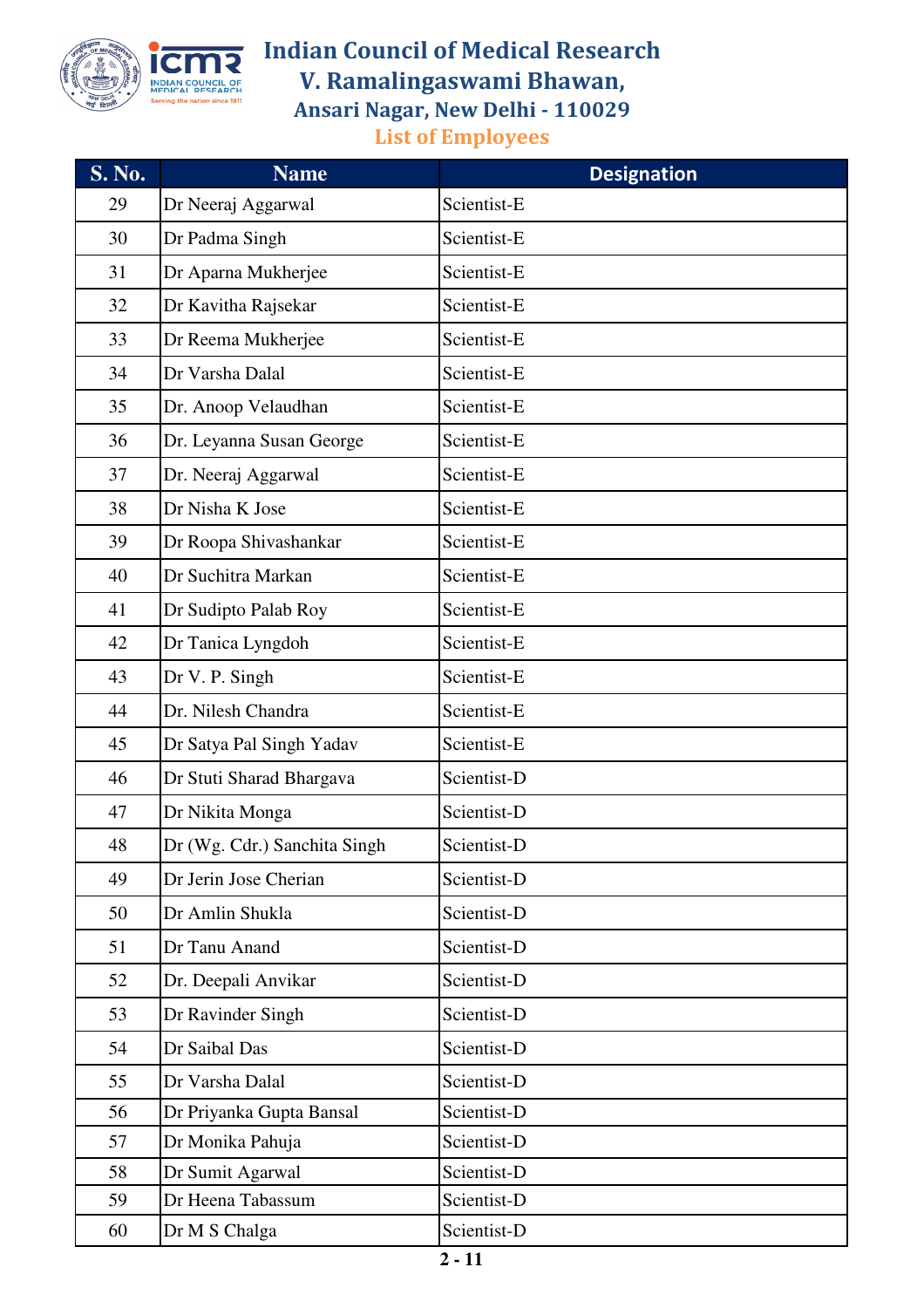

| <b>S. No.</b> | <b>Name</b>                  | <b>Designation</b> |
|---------------|------------------------------|--------------------|
| 29            | Dr Neeraj Aggarwal           | Scientist-E        |
| 30            | Dr Padma Singh               | Scientist-E        |
| 31            | Dr Aparna Mukherjee          | Scientist-E        |
| 32            | Dr Kavitha Rajsekar          | Scientist-E        |
| 33            | Dr Reema Mukherjee           | Scientist-E        |
| 34            | Dr Varsha Dalal              | Scientist-E        |
| 35            | Dr. Anoop Velaudhan          | Scientist-E        |
| 36            | Dr. Leyanna Susan George     | Scientist-E        |
| 37            | Dr. Neeraj Aggarwal          | Scientist-E        |
| 38            | Dr Nisha K Jose              | Scientist-E        |
| 39            | Dr Roopa Shivashankar        | Scientist-E        |
| 40            | Dr Suchitra Markan           | Scientist-E        |
| 41            | Dr Sudipto Palab Roy         | Scientist-E        |
| 42            | Dr Tanica Lyngdoh            | Scientist-E        |
| 43            | Dr V. P. Singh               | Scientist-E        |
| 44            | Dr. Nilesh Chandra           | Scientist-E        |
| 45            | Dr Satya Pal Singh Yadav     | Scientist-E        |
| 46            | Dr Stuti Sharad Bhargava     | Scientist-D        |
| 47            | Dr Nikita Monga              | Scientist-D        |
| 48            | Dr (Wg. Cdr.) Sanchita Singh | Scientist-D        |
| 49            | Dr Jerin Jose Cherian        | Scientist-D        |
| 50            | Dr Amlin Shukla              | Scientist-D        |
| 51            | Dr Tanu Anand                | Scientist-D        |
| 52            | Dr. Deepali Anvikar          | Scientist-D        |
| 53            | Dr Ravinder Singh            | Scientist-D        |
| 54            | Dr Saibal Das                | Scientist-D        |
| 55            | Dr Varsha Dalal              | Scientist-D        |
| 56            | Dr Priyanka Gupta Bansal     | Scientist-D        |
| 57            | Dr Monika Pahuja             | Scientist-D        |
| 58            | Dr Sumit Agarwal             | Scientist-D        |
| 59            | Dr Heena Tabassum            | Scientist-D        |
| 60            | Dr M S Chalga                | Scientist-D        |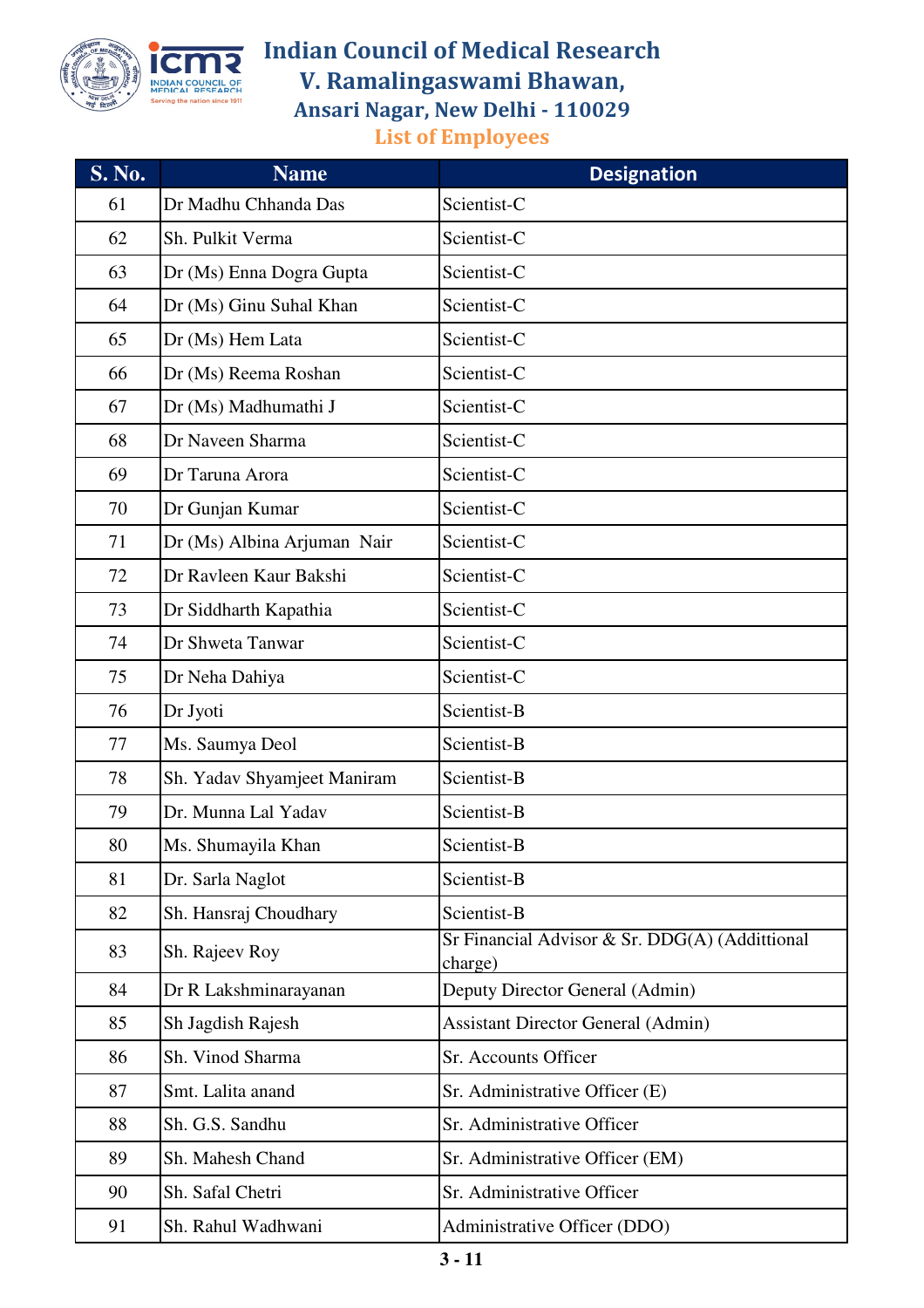

| <b>S. No.</b> | <b>Name</b>                 | <b>Designation</b>                                        |
|---------------|-----------------------------|-----------------------------------------------------------|
| 61            | Dr Madhu Chhanda Das        | Scientist-C                                               |
| 62            | Sh. Pulkit Verma            | Scientist-C                                               |
| 63            | Dr (Ms) Enna Dogra Gupta    | Scientist-C                                               |
| 64            | Dr (Ms) Ginu Suhal Khan     | Scientist-C                                               |
| 65            | Dr (Ms) Hem Lata            | Scientist-C                                               |
| 66            | Dr (Ms) Reema Roshan        | Scientist-C                                               |
| 67            | Dr (Ms) Madhumathi J        | Scientist-C                                               |
| 68            | Dr Naveen Sharma            | Scientist-C                                               |
| 69            | Dr Taruna Arora             | Scientist-C                                               |
| 70            | Dr Gunjan Kumar             | Scientist-C                                               |
| 71            | Dr (Ms) Albina Arjuman Nair | Scientist-C                                               |
| 72            | Dr Ravleen Kaur Bakshi      | Scientist-C                                               |
| 73            | Dr Siddharth Kapathia       | Scientist-C                                               |
| 74            | Dr Shweta Tanwar            | Scientist-C                                               |
| 75            | Dr Neha Dahiya              | Scientist-C                                               |
| 76            | Dr Jyoti                    | Scientist-B                                               |
| 77            | Ms. Saumya Deol             | Scientist-B                                               |
| 78            | Sh. Yadav Shyamjeet Maniram | Scientist-B                                               |
| 79            | Dr. Munna Lal Yadav         | Scientist-B                                               |
| 80            | Ms. Shumayila Khan          | Scientist-B                                               |
| 81            | Dr. Sarla Naglot            | Scientist-B                                               |
| 82            | Sh. Hansraj Choudhary       | Scientist-B                                               |
| 83            | Sh. Rajeev Roy              | Sr Financial Advisor & Sr. DDG(A) (Addittional<br>charge) |
| 84            | Dr R Lakshminarayanan       | Deputy Director General (Admin)                           |
| 85            | Sh Jagdish Rajesh           | <b>Assistant Director General (Admin)</b>                 |
| 86            | Sh. Vinod Sharma            | Sr. Accounts Officer                                      |
| 87            | Smt. Lalita anand           | Sr. Administrative Officer (E)                            |
| 88            | Sh. G.S. Sandhu             | Sr. Administrative Officer                                |
| 89            | Sh. Mahesh Chand            | Sr. Administrative Officer (EM)                           |
| 90            | Sh. Safal Chetri            | Sr. Administrative Officer                                |
| 91            | Sh. Rahul Wadhwani          | Administrative Officer (DDO)                              |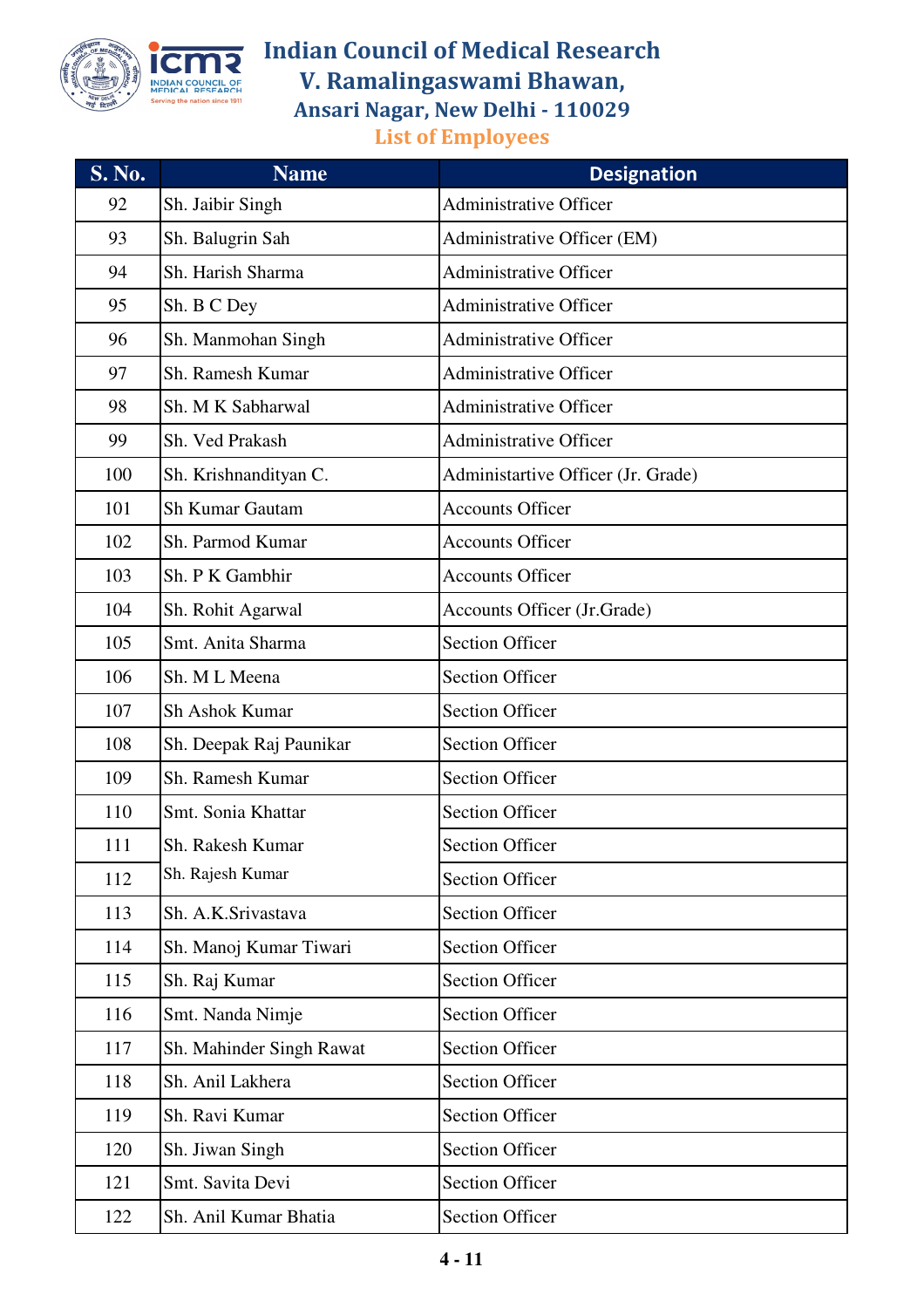

| $S. \overline{No.}$ | <b>Name</b>              | <b>Designation</b>                 |
|---------------------|--------------------------|------------------------------------|
| 92                  | Sh. Jaibir Singh         | <b>Administrative Officer</b>      |
| 93                  | Sh. Balugrin Sah         | Administrative Officer (EM)        |
| 94                  | Sh. Harish Sharma        | <b>Administrative Officer</b>      |
| 95                  | Sh. B C Dey              | <b>Administrative Officer</b>      |
| 96                  | Sh. Manmohan Singh       | <b>Administrative Officer</b>      |
| 97                  | Sh. Ramesh Kumar         | <b>Administrative Officer</b>      |
| 98                  | Sh. M K Sabharwal        | <b>Administrative Officer</b>      |
| 99                  | Sh. Ved Prakash          | <b>Administrative Officer</b>      |
| 100                 | Sh. Krishnandityan C.    | Administartive Officer (Jr. Grade) |
| 101                 | <b>Sh Kumar Gautam</b>   | <b>Accounts Officer</b>            |
| 102                 | Sh. Parmod Kumar         | <b>Accounts Officer</b>            |
| 103                 | Sh. P K Gambhir          | <b>Accounts Officer</b>            |
| 104                 | Sh. Rohit Agarwal        | Accounts Officer (Jr.Grade)        |
| 105                 | Smt. Anita Sharma        | <b>Section Officer</b>             |
| 106                 | Sh. M L Meena            | <b>Section Officer</b>             |
| 107                 | <b>Sh Ashok Kumar</b>    | <b>Section Officer</b>             |
| 108                 | Sh. Deepak Raj Paunikar  | <b>Section Officer</b>             |
| 109                 | Sh. Ramesh Kumar         | <b>Section Officer</b>             |
| 110                 | Smt. Sonia Khattar       | <b>Section Officer</b>             |
| 111                 | Sh. Rakesh Kumar         | <b>Section Officer</b>             |
| 112                 | Sh. Rajesh Kumar         | <b>Section Officer</b>             |
| 113                 | Sh. A.K.Srivastava       | <b>Section Officer</b>             |
| 114                 | Sh. Manoj Kumar Tiwari   | <b>Section Officer</b>             |
| 115                 | Sh. Raj Kumar            | <b>Section Officer</b>             |
| 116                 | Smt. Nanda Nimje         | <b>Section Officer</b>             |
| 117                 | Sh. Mahinder Singh Rawat | <b>Section Officer</b>             |
| 118                 | Sh. Anil Lakhera         | <b>Section Officer</b>             |
| 119                 | Sh. Ravi Kumar           | <b>Section Officer</b>             |
| 120                 | Sh. Jiwan Singh          | <b>Section Officer</b>             |
| 121                 | Smt. Savita Devi         | <b>Section Officer</b>             |
| 122                 | Sh. Anil Kumar Bhatia    | <b>Section Officer</b>             |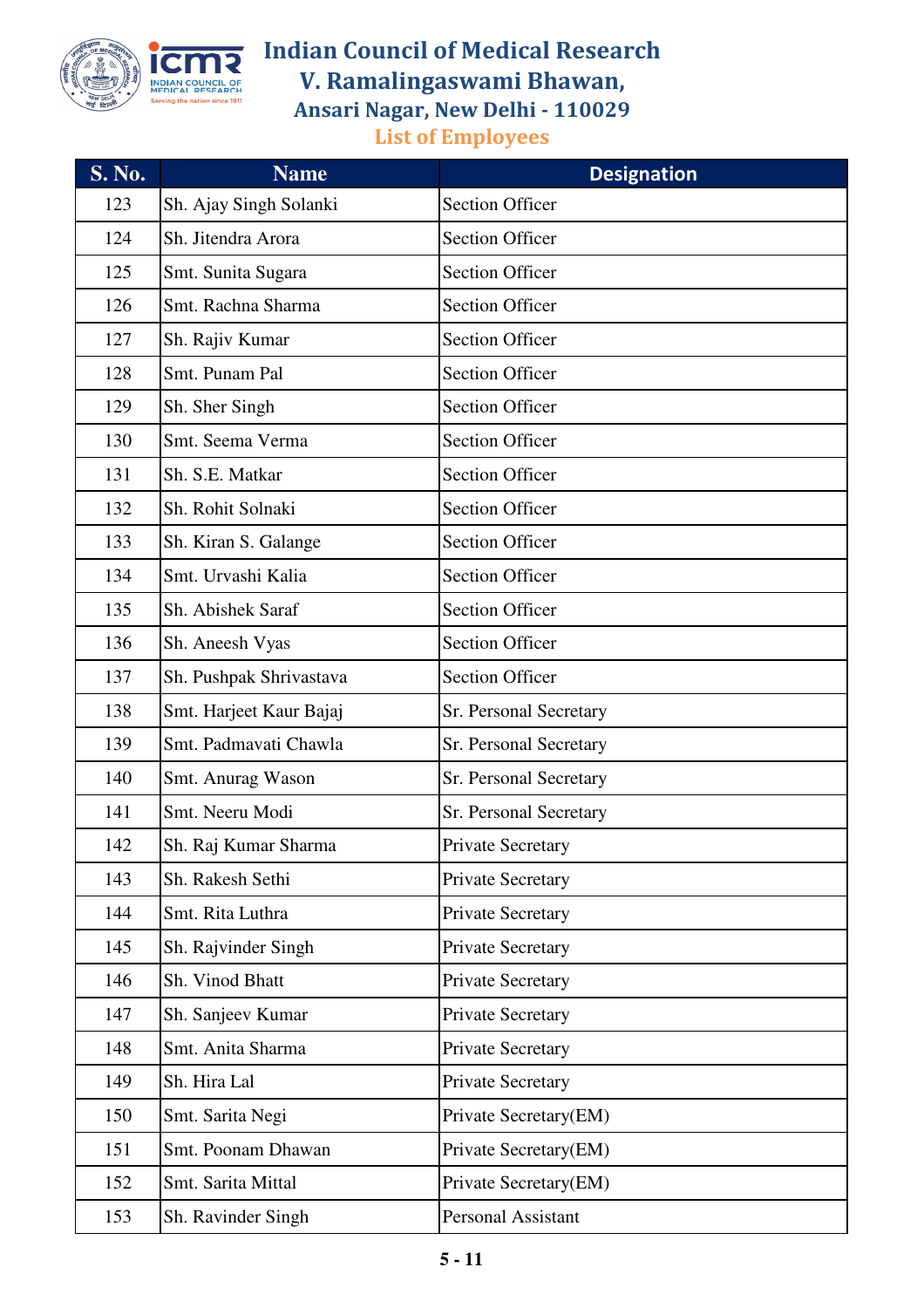

| <b>S. No.</b> | <b>Name</b>             | <b>Designation</b>        |
|---------------|-------------------------|---------------------------|
| 123           | Sh. Ajay Singh Solanki  | <b>Section Officer</b>    |
| 124           | Sh. Jitendra Arora      | <b>Section Officer</b>    |
| 125           | Smt. Sunita Sugara      | <b>Section Officer</b>    |
| 126           | Smt. Rachna Sharma      | <b>Section Officer</b>    |
| 127           | Sh. Rajiv Kumar         | <b>Section Officer</b>    |
| 128           | Smt. Punam Pal          | <b>Section Officer</b>    |
| 129           | Sh. Sher Singh          | <b>Section Officer</b>    |
| 130           | Smt. Seema Verma        | <b>Section Officer</b>    |
| 131           | Sh. S.E. Matkar         | <b>Section Officer</b>    |
| 132           | Sh. Rohit Solnaki       | <b>Section Officer</b>    |
| 133           | Sh. Kiran S. Galange    | <b>Section Officer</b>    |
| 134           | Smt. Urvashi Kalia      | <b>Section Officer</b>    |
| 135           | Sh. Abishek Saraf       | <b>Section Officer</b>    |
| 136           | Sh. Aneesh Vyas         | <b>Section Officer</b>    |
| 137           | Sh. Pushpak Shrivastava | <b>Section Officer</b>    |
| 138           | Smt. Harjeet Kaur Bajaj | Sr. Personal Secretary    |
| 139           | Smt. Padmavati Chawla   | Sr. Personal Secretary    |
| 140           | Smt. Anurag Wason       | Sr. Personal Secretary    |
| 141           | Smt. Neeru Modi         | Sr. Personal Secretary    |
| 142           | Sh. Raj Kumar Sharma    | <b>Private Secretary</b>  |
| 143           | Sh. Rakesh Sethi        | <b>Private Secretary</b>  |
| 144           | Smt. Rita Luthra        | <b>Private Secretary</b>  |
| 145           | Sh. Rajvinder Singh     | Private Secretary         |
| 146           | Sh. Vinod Bhatt         | Private Secretary         |
| 147           | Sh. Sanjeev Kumar       | Private Secretary         |
| 148           | Smt. Anita Sharma       | <b>Private Secretary</b>  |
| 149           | Sh. Hira Lal            | Private Secretary         |
| 150           | Smt. Sarita Negi        | Private Secretary(EM)     |
| 151           | Smt. Poonam Dhawan      | Private Secretary(EM)     |
| 152           | Smt. Sarita Mittal      | Private Secretary(EM)     |
| 153           | Sh. Ravinder Singh      | <b>Personal Assistant</b> |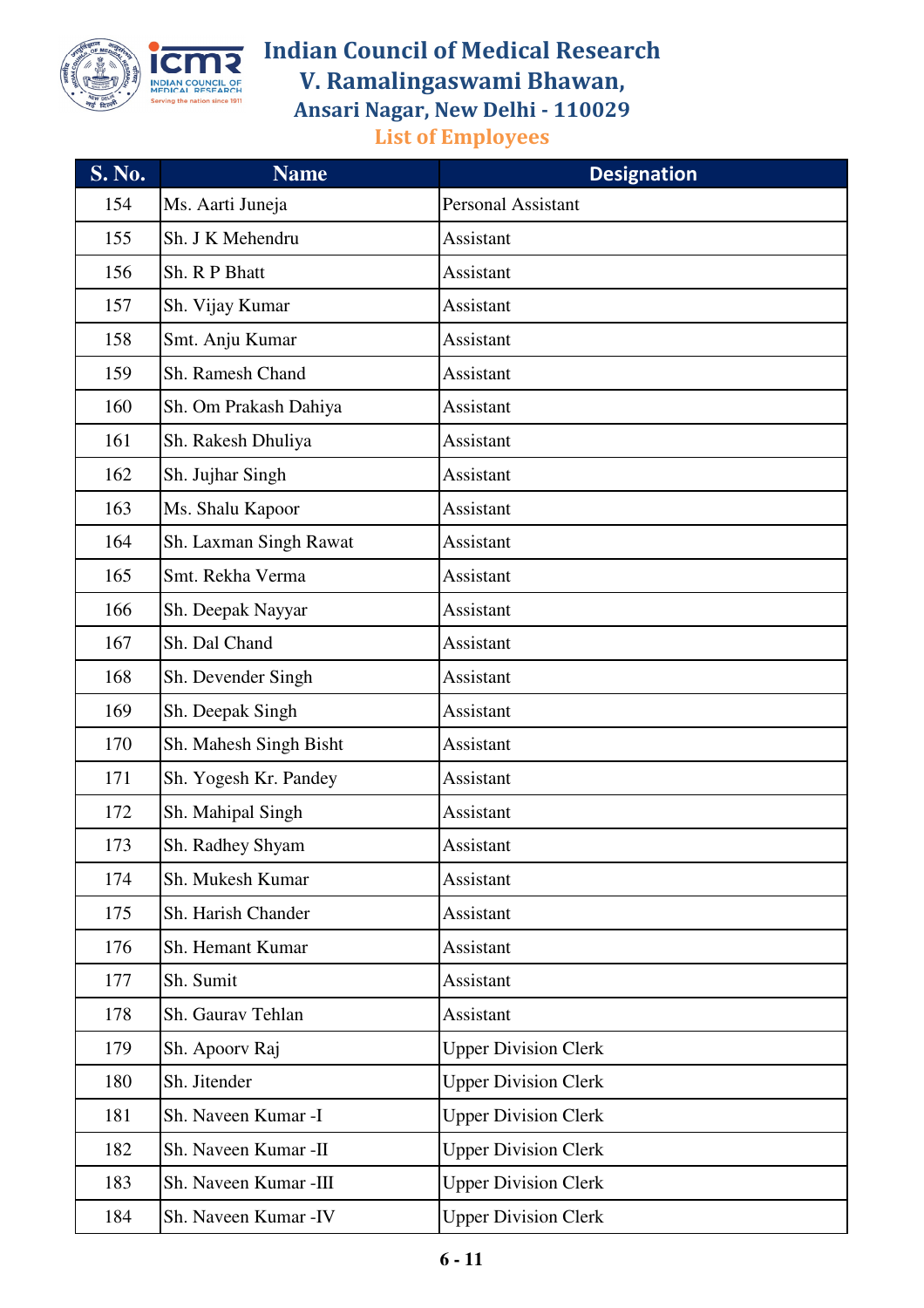

| <b>S. No.</b> | <b>Name</b>            | <b>Designation</b>          |
|---------------|------------------------|-----------------------------|
| 154           | Ms. Aarti Juneja       | <b>Personal Assistant</b>   |
| 155           | Sh. J K Mehendru       | Assistant                   |
| 156           | Sh. R P Bhatt          | Assistant                   |
| 157           | Sh. Vijay Kumar        | Assistant                   |
| 158           | Smt. Anju Kumar        | Assistant                   |
| 159           | Sh. Ramesh Chand       | Assistant                   |
| 160           | Sh. Om Prakash Dahiya  | Assistant                   |
| 161           | Sh. Rakesh Dhuliya     | Assistant                   |
| 162           | Sh. Jujhar Singh       | Assistant                   |
| 163           | Ms. Shalu Kapoor       | Assistant                   |
| 164           | Sh. Laxman Singh Rawat | Assistant                   |
| 165           | Smt. Rekha Verma       | Assistant                   |
| 166           | Sh. Deepak Nayyar      | Assistant                   |
| 167           | Sh. Dal Chand          | Assistant                   |
| 168           | Sh. Devender Singh     | Assistant                   |
| 169           | Sh. Deepak Singh       | Assistant                   |
| 170           | Sh. Mahesh Singh Bisht | Assistant                   |
| 171           | Sh. Yogesh Kr. Pandey  | Assistant                   |
| 172           | Sh. Mahipal Singh      | Assistant                   |
| 173           | Sh. Radhey Shyam       | <b>Assistant</b>            |
| 174           | Sh. Mukesh Kumar       | Assistant                   |
| 175           | Sh. Harish Chander     | Assistant                   |
| 176           | Sh. Hemant Kumar       | Assistant                   |
| 177           | Sh. Sumit              | Assistant                   |
| 178           | Sh. Gaurav Tehlan      | Assistant                   |
| 179           | Sh. Apoorv Raj         | <b>Upper Division Clerk</b> |
| 180           | Sh. Jitender           | <b>Upper Division Clerk</b> |
| 181           | Sh. Naveen Kumar -I    | <b>Upper Division Clerk</b> |
| 182           | Sh. Naveen Kumar -II   | <b>Upper Division Clerk</b> |
| 183           | Sh. Naveen Kumar -III  | <b>Upper Division Clerk</b> |
| 184           | Sh. Naveen Kumar - IV  | <b>Upper Division Clerk</b> |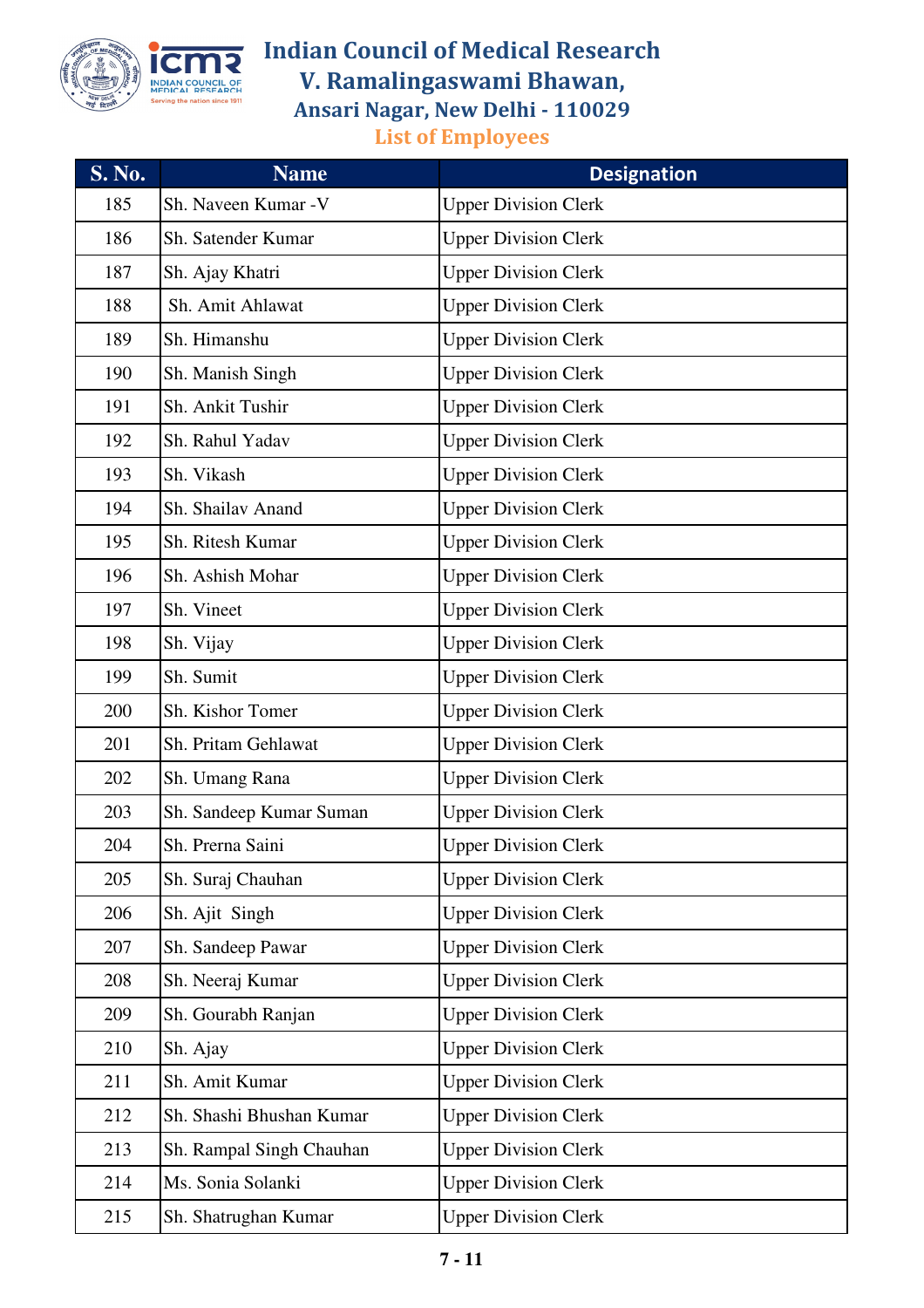

| <b>S. No.</b> | <b>Name</b>              | <b>Designation</b>          |
|---------------|--------------------------|-----------------------------|
| 185           | Sh. Naveen Kumar - V     | <b>Upper Division Clerk</b> |
| 186           | Sh. Satender Kumar       | <b>Upper Division Clerk</b> |
| 187           | Sh. Ajay Khatri          | <b>Upper Division Clerk</b> |
| 188           | Sh. Amit Ahlawat         | <b>Upper Division Clerk</b> |
| 189           | Sh. Himanshu             | <b>Upper Division Clerk</b> |
| 190           | Sh. Manish Singh         | <b>Upper Division Clerk</b> |
| 191           | Sh. Ankit Tushir         | <b>Upper Division Clerk</b> |
| 192           | Sh. Rahul Yadav          | <b>Upper Division Clerk</b> |
| 193           | Sh. Vikash               | <b>Upper Division Clerk</b> |
| 194           | Sh. Shailav Anand        | <b>Upper Division Clerk</b> |
| 195           | Sh. Ritesh Kumar         | <b>Upper Division Clerk</b> |
| 196           | Sh. Ashish Mohar         | <b>Upper Division Clerk</b> |
| 197           | Sh. Vineet               | <b>Upper Division Clerk</b> |
| 198           | Sh. Vijay                | <b>Upper Division Clerk</b> |
| 199           | Sh. Sumit                | <b>Upper Division Clerk</b> |
| 200           | Sh. Kishor Tomer         | <b>Upper Division Clerk</b> |
| 201           | Sh. Pritam Gehlawat      | <b>Upper Division Clerk</b> |
| 202           | Sh. Umang Rana           | <b>Upper Division Clerk</b> |
| 203           | Sh. Sandeep Kumar Suman  | <b>Upper Division Clerk</b> |
| 204           | Sh. Prerna Saini         | <b>Upper Division Clerk</b> |
| 205           | Sh. Suraj Chauhan        | <b>Upper Division Clerk</b> |
| 206           | Sh. Ajit Singh           | <b>Upper Division Clerk</b> |
| 207           | Sh. Sandeep Pawar        | <b>Upper Division Clerk</b> |
| 208           | Sh. Neeraj Kumar         | <b>Upper Division Clerk</b> |
| 209           | Sh. Gourabh Ranjan       | <b>Upper Division Clerk</b> |
| 210           | Sh. Ajay                 | <b>Upper Division Clerk</b> |
| 211           | Sh. Amit Kumar           | <b>Upper Division Clerk</b> |
| 212           | Sh. Shashi Bhushan Kumar | <b>Upper Division Clerk</b> |
| 213           | Sh. Rampal Singh Chauhan | <b>Upper Division Clerk</b> |
| 214           | Ms. Sonia Solanki        | <b>Upper Division Clerk</b> |
| 215           | Sh. Shatrughan Kumar     | <b>Upper Division Clerk</b> |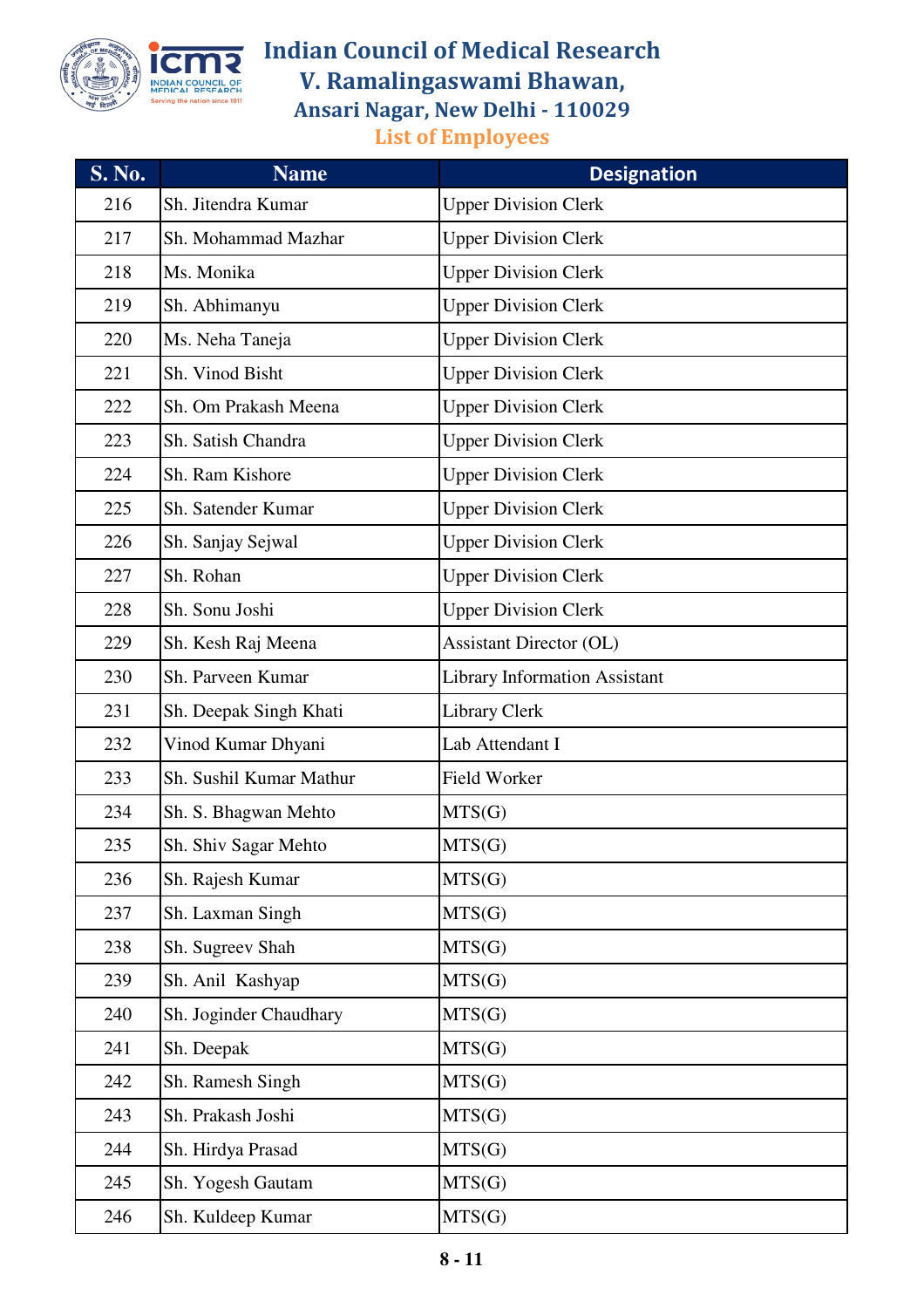

| $S. \overline{No.}$ | <b>Name</b>             | <b>Designation</b>                   |
|---------------------|-------------------------|--------------------------------------|
| 216                 | Sh. Jitendra Kumar      | <b>Upper Division Clerk</b>          |
| 217                 | Sh. Mohammad Mazhar     | <b>Upper Division Clerk</b>          |
| 218                 | Ms. Monika              | <b>Upper Division Clerk</b>          |
| 219                 | Sh. Abhimanyu           | <b>Upper Division Clerk</b>          |
| 220                 | Ms. Neha Taneja         | <b>Upper Division Clerk</b>          |
| 221                 | Sh. Vinod Bisht         | <b>Upper Division Clerk</b>          |
| 222                 | Sh. Om Prakash Meena    | <b>Upper Division Clerk</b>          |
| 223                 | Sh. Satish Chandra      | <b>Upper Division Clerk</b>          |
| 224                 | Sh. Ram Kishore         | <b>Upper Division Clerk</b>          |
| 225                 | Sh. Satender Kumar      | <b>Upper Division Clerk</b>          |
| 226                 | Sh. Sanjay Sejwal       | <b>Upper Division Clerk</b>          |
| 227                 | Sh. Rohan               | <b>Upper Division Clerk</b>          |
| 228                 | Sh. Sonu Joshi          | <b>Upper Division Clerk</b>          |
| 229                 | Sh. Kesh Raj Meena      | <b>Assistant Director (OL)</b>       |
| 230                 | Sh. Parveen Kumar       | <b>Library Information Assistant</b> |
| 231                 | Sh. Deepak Singh Khati  | <b>Library Clerk</b>                 |
| 232                 | Vinod Kumar Dhyani      | Lab Attendant I                      |
| 233                 | Sh. Sushil Kumar Mathur | Field Worker                         |
| 234                 | Sh. S. Bhagwan Mehto    | MTS(G)                               |
| 235                 | Sh. Shiv Sagar Mehto    | MTS(G)                               |
| 236                 | Sh. Rajesh Kumar        | MTS(G)                               |
| 237                 | Sh. Laxman Singh        | MTS(G)                               |
| 238                 | Sh. Sugreev Shah        | MTS(G)                               |
| 239                 | Sh. Anil Kashyap        | MTS(G)                               |
| 240                 | Sh. Joginder Chaudhary  | MTS(G)                               |
| 241                 | Sh. Deepak              | MTS(G)                               |
| 242                 | Sh. Ramesh Singh        | MTS(G)                               |
| 243                 | Sh. Prakash Joshi       | MTS(G)                               |
| 244                 | Sh. Hirdya Prasad       | MTS(G)                               |
| 245                 | Sh. Yogesh Gautam       | MTS(G)                               |
| 246                 | Sh. Kuldeep Kumar       | MTS(G)                               |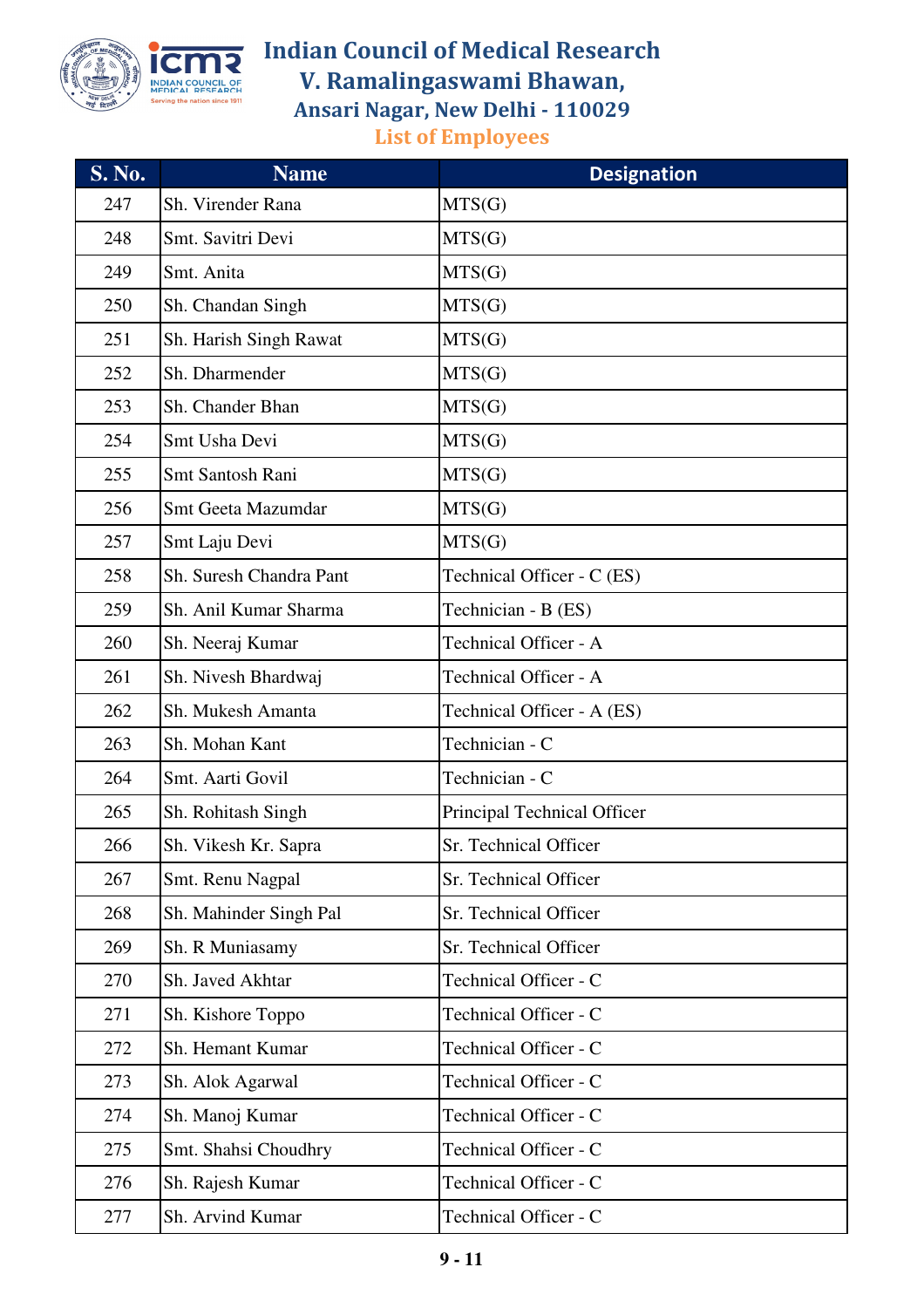

| <b>S. No.</b> | <b>Name</b>             | <b>Designation</b>          |
|---------------|-------------------------|-----------------------------|
| 247           | Sh. Virender Rana       | MTS(G)                      |
| 248           | Smt. Savitri Devi       | MTS(G)                      |
| 249           | Smt. Anita              | MTS(G)                      |
| 250           | Sh. Chandan Singh       | MTS(G)                      |
| 251           | Sh. Harish Singh Rawat  | MTS(G)                      |
| 252           | Sh. Dharmender          | MTS(G)                      |
| 253           | Sh. Chander Bhan        | MTS(G)                      |
| 254           | Smt Usha Devi           | MTS(G)                      |
| 255           | Smt Santosh Rani        | MTS(G)                      |
| 256           | Smt Geeta Mazumdar      | MTS(G)                      |
| 257           | Smt Laju Devi           | MTS(G)                      |
| 258           | Sh. Suresh Chandra Pant | Technical Officer - C (ES)  |
| 259           | Sh. Anil Kumar Sharma   | Technician - B (ES)         |
| 260           | Sh. Neeraj Kumar        | Technical Officer - A       |
| 261           | Sh. Nivesh Bhardwaj     | Technical Officer - A       |
| 262           | Sh. Mukesh Amanta       | Technical Officer - A (ES)  |
| 263           | Sh. Mohan Kant          | Technician - C              |
| 264           | Smt. Aarti Govil        | Technician - C              |
| 265           | Sh. Rohitash Singh      | Principal Technical Officer |
| 266           | Sh. Vikesh Kr. Sapra    | Sr. Technical Officer       |
| 267           | Smt. Renu Nagpal        | Sr. Technical Officer       |
| 268           | Sh. Mahinder Singh Pal  | Sr. Technical Officer       |
| 269           | Sh. R Muniasamy         | Sr. Technical Officer       |
| 270           | Sh. Javed Akhtar        | Technical Officer - C       |
| 271           | Sh. Kishore Toppo       | Technical Officer - C       |
| 272           | Sh. Hemant Kumar        | Technical Officer - C       |
| 273           | Sh. Alok Agarwal        | Technical Officer - C       |
| 274           | Sh. Manoj Kumar         | Technical Officer - C       |
| 275           | Smt. Shahsi Choudhry    | Technical Officer - C       |
| 276           | Sh. Rajesh Kumar        | Technical Officer - C       |
| 277           | Sh. Arvind Kumar        | Technical Officer - C       |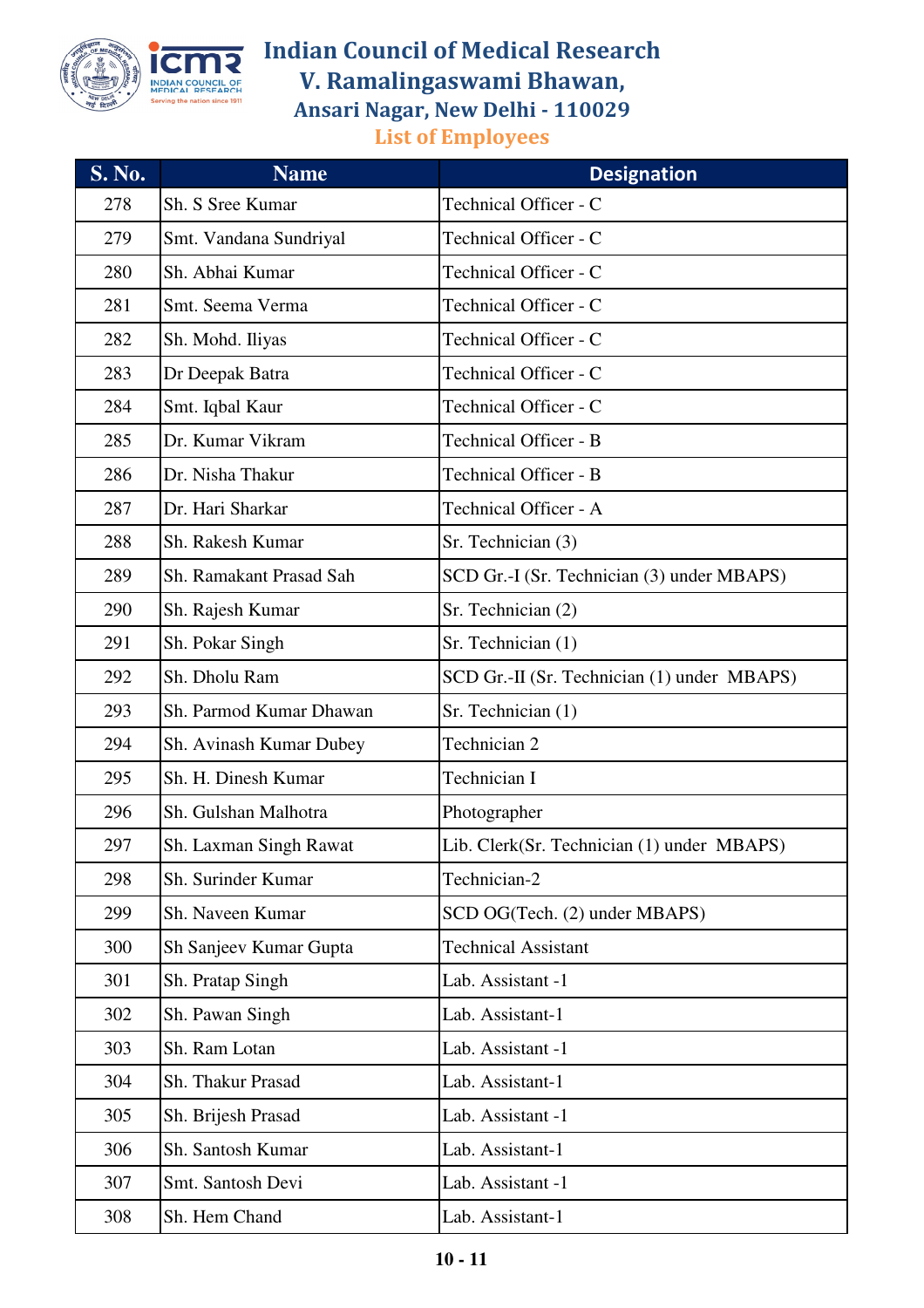

| <b>S. No.</b> | <b>Name</b>             | <b>Designation</b>                          |
|---------------|-------------------------|---------------------------------------------|
| 278           | Sh. S Sree Kumar        | Technical Officer - C                       |
| 279           | Smt. Vandana Sundriyal  | Technical Officer - C                       |
| 280           | Sh. Abhai Kumar         | Technical Officer - C                       |
| 281           | Smt. Seema Verma        | Technical Officer - C                       |
| 282           | Sh. Mohd. Iliyas        | Technical Officer - C                       |
| 283           | Dr Deepak Batra         | Technical Officer - C                       |
| 284           | Smt. Iqbal Kaur         | Technical Officer - C                       |
| 285           | Dr. Kumar Vikram        | <b>Technical Officer - B</b>                |
| 286           | Dr. Nisha Thakur        | Technical Officer - B                       |
| 287           | Dr. Hari Sharkar        | Technical Officer - A                       |
| 288           | Sh. Rakesh Kumar        | Sr. Technician (3)                          |
| 289           | Sh. Ramakant Prasad Sah | SCD Gr.-I (Sr. Technician (3) under MBAPS)  |
| 290           | Sh. Rajesh Kumar        | Sr. Technician (2)                          |
| 291           | Sh. Pokar Singh         | Sr. Technician (1)                          |
| 292           | Sh. Dholu Ram           | SCD Gr.-II (Sr. Technician (1) under MBAPS) |
| 293           | Sh. Parmod Kumar Dhawan | Sr. Technician (1)                          |
| 294           | Sh. Avinash Kumar Dubey | Technician 2                                |
| 295           | Sh. H. Dinesh Kumar     | Technician I                                |
| 296           | Sh. Gulshan Malhotra    | Photographer                                |
| 297           | Sh. Laxman Singh Rawat  | Lib. Clerk(Sr. Technician (1) under MBAPS)  |
| 298           | Sh. Surinder Kumar      | Technician-2                                |
| 299           | Sh. Naveen Kumar        | SCD OG(Tech. (2) under MBAPS)               |
| 300           | Sh Sanjeev Kumar Gupta  | <b>Technical Assistant</b>                  |
| 301           | Sh. Pratap Singh        | Lab. Assistant -1                           |
| 302           | Sh. Pawan Singh         | Lab. Assistant-1                            |
| 303           | Sh. Ram Lotan           | Lab. Assistant -1                           |
| 304           | Sh. Thakur Prasad       | Lab. Assistant-1                            |
| 305           | Sh. Brijesh Prasad      | Lab. Assistant -1                           |
| 306           | Sh. Santosh Kumar       | Lab. Assistant-1                            |
| 307           | Smt. Santosh Devi       | Lab. Assistant -1                           |
| 308           | Sh. Hem Chand           | Lab. Assistant-1                            |